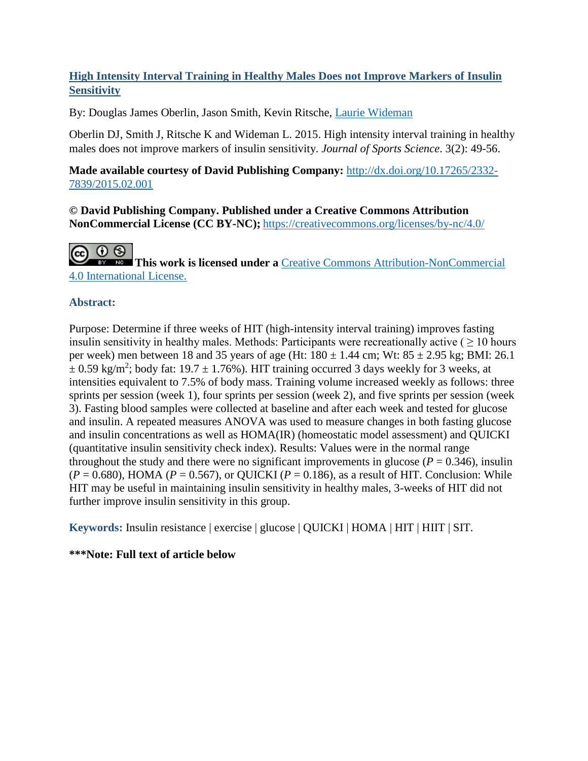# **High Intensity Interval Training in Healthy Males Does not Improve Markers of Insulin Sensitivity**

By: Douglas James Oberlin, Jason Smith, Kevin Ritsche, [Laurie Wideman](http://libres.uncg.edu/ir/uncg/clist.aspx?id=1444)

Oberlin DJ, Smith J, Ritsche K and Wideman L. 2015. High intensity interval training in healthy males does not improve markers of insulin sensitivity. *Journal of Sports Science*. 3(2): 49-56.

**Made available courtesy of David Publishing Company:** [http://dx.doi.org/10.17265/2332-](http://dx.doi.org/10.17265/2332-7839/2015.02.001) [7839/2015.02.001](http://dx.doi.org/10.17265/2332-7839/2015.02.001)

**© David Publishing Company. Published under a Creative Commons Attribution NonCommercial License (CC BY-NC);** <https://creativecommons.org/licenses/by-nc/4.0/>

@ 0 ® **This work is licensed under a [Creative Commons Attribution-NonCommercial](https://creativecommons.org/licenses/by-nc/4.0/)** [4.0 International License.](https://creativecommons.org/licenses/by-nc/4.0/)

# **Abstract:**

Purpose: Determine if three weeks of HIT (high-intensity interval training) improves fasting insulin sensitivity in healthy males. Methods: Participants were recreationally active ( $\geq 10$  hours per week) men between 18 and 35 years of age (Ht:  $180 \pm 1.44$  cm; Wt:  $85 \pm 2.95$  kg; BMI: 26.1  $\pm$  0.59 kg/m<sup>2</sup>; body fat: 19.7  $\pm$  1.76%). HIT training occurred 3 days weekly for 3 weeks, at intensities equivalent to 7.5% of body mass. Training volume increased weekly as follows: three sprints per session (week 1), four sprints per session (week 2), and five sprints per session (week 3). Fasting blood samples were collected at baseline and after each week and tested for glucose and insulin. A repeated measures ANOVA was used to measure changes in both fasting glucose and insulin concentrations as well as HOMA(IR) (homeostatic model assessment) and QUICKI (quantitative insulin sensitivity check index). Results: Values were in the normal range throughout the study and there were no significant improvements in glucose  $(P = 0.346)$ , insulin  $(P = 0.680)$ , HOMA ( $P = 0.567$ ), or QUICKI ( $P = 0.186$ ), as a result of HIT. Conclusion: While HIT may be useful in maintaining insulin sensitivity in healthy males, 3-weeks of HIT did not further improve insulin sensitivity in this group.

**Keywords:** Insulin resistance | exercise | glucose | QUICKI | HOMA | HIT | HIIT | SIT.

# **\*\*\*Note: Full text of article below**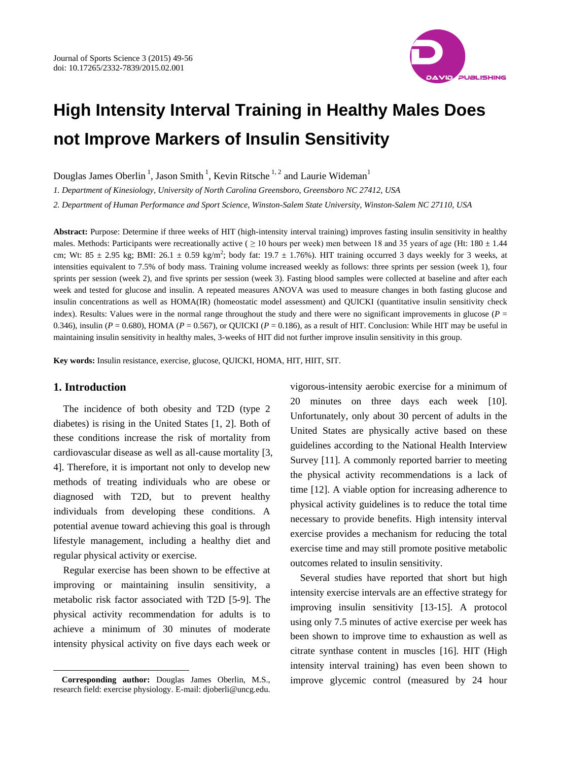

# **High Intensity Interval Training in Healthy Males Does not Improve Markers of Insulin Sensitivity**

Douglas James Oberlin<sup>1</sup>, Jason Smith<sup>1</sup>, Kevin Ritsche<sup>1,2</sup> and Laurie Wideman<sup>1</sup>

*1. Department of Kinesiology, University of North Carolina Greensboro, Greensboro NC 27412, USA* 

*2. Department of Human Performance and Sport Science, Winston-Salem State University, Winston-Salem NC 27110, USA* 

**Abstract:** Purpose: Determine if three weeks of HIT (high-intensity interval training) improves fasting insulin sensitivity in healthy males. Methods: Participants were recreationally active ( $\geq 10$  hours per week) men between 18 and 35 years of age (Ht: 180  $\pm$  1.44 cm; Wt: 85  $\pm$  2.95 kg; BMI: 26.1  $\pm$  0.59 kg/m<sup>2</sup>; body fat: 19.7  $\pm$  1.76%). HIT training occurred 3 days weekly for 3 weeks, at intensities equivalent to 7.5% of body mass. Training volume increased weekly as follows: three sprints per session (week 1), four sprints per session (week 2), and five sprints per session (week 3). Fasting blood samples were collected at baseline and after each week and tested for glucose and insulin. A repeated measures ANOVA was used to measure changes in both fasting glucose and insulin concentrations as well as HOMA(IR) (homeostatic model assessment) and QUICKI (quantitative insulin sensitivity check index). Results: Values were in the normal range throughout the study and there were no significant improvements in glucose (*P* = 0.346), insulin ( $P = 0.680$ ), HOMA ( $P = 0.567$ ), or QUICKI ( $P = 0.186$ ), as a result of HIT. Conclusion: While HIT may be useful in maintaining insulin sensitivity in healthy males, 3-weeks of HIT did not further improve insulin sensitivity in this group.

**Key words:** Insulin resistance, exercise, glucose, QUICKI, HOMA, HIT, HIIT, SIT.

# **1. Introduction**

 $\overline{a}$ 

The incidence of both obesity and T2D (type 2 diabetes) is rising in the United States [1, 2]. Both of these conditions increase the risk of mortality from cardiovascular disease as well as all-cause mortality [3, 4]. Therefore, it is important not only to develop new methods of treating individuals who are obese or diagnosed with T2D, but to prevent healthy individuals from developing these conditions. A potential avenue toward achieving this goal is through lifestyle management, including a healthy diet and regular physical activity or exercise.

Regular exercise has been shown to be effective at improving or maintaining insulin sensitivity, a metabolic risk factor associated with T2D [5-9]. The physical activity recommendation for adults is to achieve a minimum of 30 minutes of moderate intensity physical activity on five days each week or

vigorous-intensity aerobic exercise for a minimum of 20 minutes on three days each week [10]. Unfortunately, only about 30 percent of adults in the United States are physically active based on these guidelines according to the National Health Interview Survey [11]. A commonly reported barrier to meeting the physical activity recommendations is a lack of time [12]. A viable option for increasing adherence to physical activity guidelines is to reduce the total time necessary to provide benefits. High intensity interval exercise provides a mechanism for reducing the total exercise time and may still promote positive metabolic outcomes related to insulin sensitivity.

Several studies have reported that short but high intensity exercise intervals are an effective strategy for improving insulin sensitivity [13-15]. A protocol using only 7.5 minutes of active exercise per week has been shown to improve time to exhaustion as well as citrate synthase content in muscles [16]. HIT (High intensity interval training) has even been shown to improve glycemic control (measured by 24 hour

**Corresponding author:** Douglas James Oberlin, M.S., research field: exercise physiology. E-mail: djoberli@uncg.edu.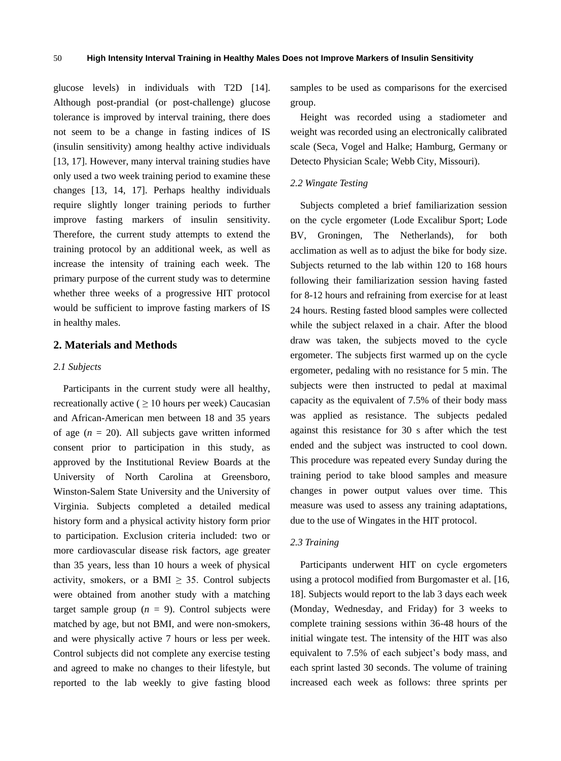glucose levels) in individuals with T2D [14]. Although post-prandial (or post-challenge) glucose tolerance is improved by interval training, there does not seem to be a change in fasting indices of IS (insulin sensitivity) among healthy active individuals [13, 17]. However, many interval training studies have only used a two week training period to examine these changes [13, 14, 17]. Perhaps healthy individuals require slightly longer training periods to further improve fasting markers of insulin sensitivity. Therefore, the current study attempts to extend the training protocol by an additional week, as well as increase the intensity of training each week. The primary purpose of the current study was to determine whether three weeks of a progressive HIT protocol would be sufficient to improve fasting markers of IS in healthy males.

## **2. Materials and Methods**

#### *2.1 Subjects*

Participants in the current study were all healthy, recreationally active ( $\geq 10$  hours per week) Caucasian and African-American men between 18 and 35 years of age  $(n = 20)$ . All subjects gave written informed consent prior to participation in this study, as approved by the Institutional Review Boards at the University of North Carolina at Greensboro, Winston-Salem State University and the University of Virginia. Subjects completed a detailed medical history form and a physical activity history form prior to participation. Exclusion criteria included: two or more cardiovascular disease risk factors, age greater than 35 years, less than 10 hours a week of physical activity, smokers, or a BMI  $\geq$  35. Control subjects were obtained from another study with a matching target sample group  $(n = 9)$ . Control subjects were matched by age, but not BMI, and were non-smokers, and were physically active 7 hours or less per week. Control subjects did not complete any exercise testing and agreed to make no changes to their lifestyle, but reported to the lab weekly to give fasting blood

samples to be used as comparisons for the exercised group.

Height was recorded using a stadiometer and weight was recorded using an electronically calibrated scale (Seca, Vogel and Halke; Hamburg, Germany or Detecto Physician Scale; Webb City, Missouri).

#### *2.2 Wingate Testing*

Subjects completed a brief familiarization session on the cycle ergometer (Lode Excalibur Sport; Lode BV, Groningen, The Netherlands), for both acclimation as well as to adjust the bike for body size. Subjects returned to the lab within 120 to 168 hours following their familiarization session having fasted for 8-12 hours and refraining from exercise for at least 24 hours. Resting fasted blood samples were collected while the subject relaxed in a chair. After the blood draw was taken, the subjects moved to the cycle ergometer. The subjects first warmed up on the cycle ergometer, pedaling with no resistance for 5 min. The subjects were then instructed to pedal at maximal capacity as the equivalent of 7.5% of their body mass was applied as resistance. The subjects pedaled against this resistance for 30 s after which the test ended and the subject was instructed to cool down. This procedure was repeated every Sunday during the training period to take blood samples and measure changes in power output values over time. This measure was used to assess any training adaptations, due to the use of Wingates in the HIT protocol.

#### *2.3 Training*

Participants underwent HIT on cycle ergometers using a protocol modified from Burgomaster et al. [16, 18]. Subjects would report to the lab 3 days each week (Monday, Wednesday, and Friday) for 3 weeks to complete training sessions within 36-48 hours of the initial wingate test. The intensity of the HIT was also equivalent to 7.5% of each subject's body mass, and each sprint lasted 30 seconds. The volume of training increased each week as follows: three sprints per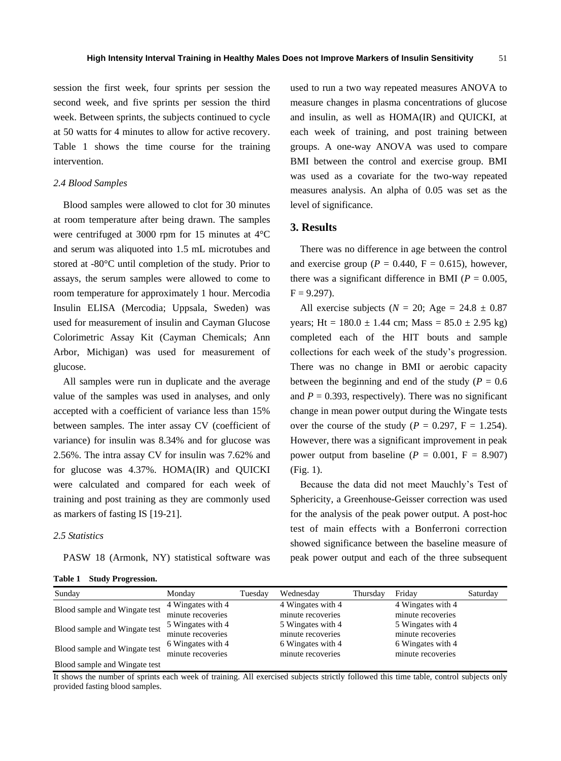session the first week, four sprints per session the second week, and five sprints per session the third week. Between sprints, the subjects continued to cycle at 50 watts for 4 minutes to allow for active recovery. Table 1 shows the time course for the training intervention.

## *2.4 Blood Samples*

Blood samples were allowed to clot for 30 minutes at room temperature after being drawn. The samples were centrifuged at 3000 rpm for 15 minutes at 4°C and serum was aliquoted into 1.5 mL microtubes and stored at -80°C until completion of the study. Prior to assays, the serum samples were allowed to come to room temperature for approximately 1 hour. Mercodia Insulin ELISA (Mercodia; Uppsala, Sweden) was used for measurement of insulin and Cayman Glucose Colorimetric Assay Kit (Cayman Chemicals; Ann Arbor, Michigan) was used for measurement of glucose.

All samples were run in duplicate and the average value of the samples was used in analyses, and only accepted with a coefficient of variance less than 15% between samples. The inter assay CV (coefficient of variance) for insulin was 8.34% and for glucose was 2.56%. The intra assay CV for insulin was 7.62% and for glucose was 4.37%. HOMA(IR) and QUICKI were calculated and compared for each week of training and post training as they are commonly used as markers of fasting IS [19-21].

#### *2.5 Statistics*

PASW 18 (Armonk, NY) statistical software was

**Table 1 Study Progression.** 

used to run a two way repeated measures ANOVA to measure changes in plasma concentrations of glucose and insulin, as well as HOMA(IR) and QUICKI, at each week of training, and post training between groups. A one-way ANOVA was used to compare BMI between the control and exercise group. BMI was used as a covariate for the two-way repeated measures analysis. An alpha of 0.05 was set as the level of significance.

#### **3. Results**

There was no difference in age between the control and exercise group ( $P = 0.440$ ,  $F = 0.615$ ), however, there was a significant difference in BMI ( $P = 0.005$ ,  $F = 9.297$ ).

All exercise subjects ( $N = 20$ ; Age = 24.8  $\pm 0.87$ ) years; Ht =  $180.0 \pm 1.44$  cm; Mass =  $85.0 \pm 2.95$  kg) completed each of the HIT bouts and sample collections for each week of the study's progression. There was no change in BMI or aerobic capacity between the beginning and end of the study ( $P = 0.6$ ) and  $P = 0.393$ , respectively). There was no significant change in mean power output during the Wingate tests over the course of the study ( $P = 0.297$ ,  $F = 1.254$ ). However, there was a significant improvement in peak power output from baseline  $(P = 0.001, F = 8.907)$ (Fig. 1).

Because the data did not meet Mauchly's Test of Sphericity, a Greenhouse-Geisser correction was used for the analysis of the peak power output. A post-hoc test of main effects with a Bonferroni correction showed significance between the baseline measure of peak power output and each of the three subsequent

| Sunday                        | Monday            | Tuesday | Wednesday         | Thursday | Fridav            | Saturday |
|-------------------------------|-------------------|---------|-------------------|----------|-------------------|----------|
| Blood sample and Wingate test | 4 Wingates with 4 |         | 4 Wingates with 4 |          | 4 Wingates with 4 |          |
|                               | minute recoveries |         | minute recoveries |          | minute recoveries |          |
| Blood sample and Wingate test | 5 Wingates with 4 |         | 5 Wingates with 4 |          | 5 Wingates with 4 |          |
|                               | minute recoveries |         | minute recoveries |          | minute recoveries |          |
| Blood sample and Wingate test | 6 Wingates with 4 |         | 6 Wingates with 4 |          | 6 Wingates with 4 |          |
|                               | minute recoveries |         | minute recoveries |          | minute recoveries |          |
| Blood sample and Wingate test |                   |         |                   |          |                   |          |

It shows the number of sprints each week of training. All exercised subjects strictly followed this time table, control subjects only provided fasting blood samples.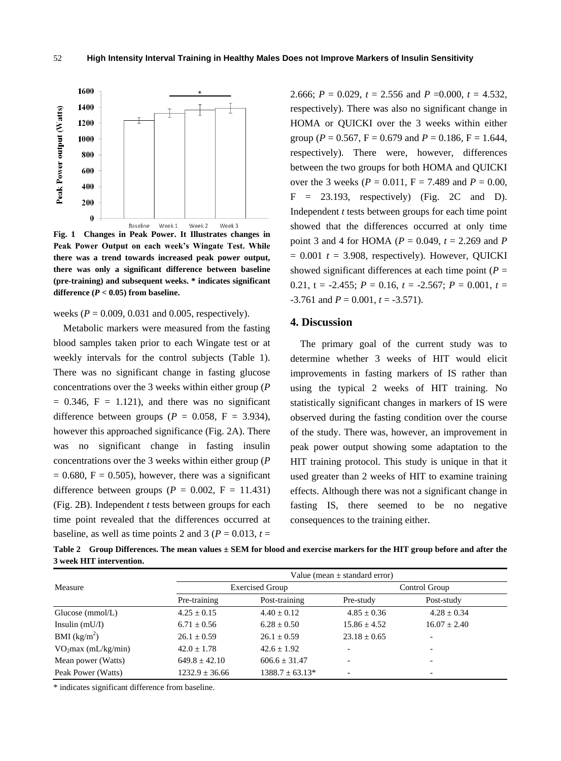

**Fig. 1 Changes in Peak Power. It Illustrates changes in Peak Power Output on each week's Wingate Test. While there was a trend towards increased peak power output, there was only a significant difference between baseline (pre-training) and subsequent weeks. \* indicates significant**  difference  $(P < 0.05)$  from baseline.

weeks ( $P = 0.009, 0.031$  and 0.005, respectively).

Metabolic markers were measured from the fasting blood samples taken prior to each Wingate test or at weekly intervals for the control subjects (Table 1). There was no significant change in fasting glucose concentrations over the 3 weeks within either group (*P*  $= 0.346$ ,  $F = 1.121$ , and there was no significant difference between groups ( $P = 0.058$ ,  $F = 3.934$ ), however this approached significance (Fig. 2A). There was no significant change in fasting insulin concentrations over the 3 weeks within either group (*P*  $= 0.680$ , F = 0.505), however, there was a significant difference between groups ( $P = 0.002$ ,  $F = 11.431$ ) (Fig. 2B). Independent *t* tests between groups for each time point revealed that the differences occurred at baseline, as well as time points 2 and 3 ( $P = 0.013$ ,  $t =$  2.666;  $P = 0.029$ ,  $t = 2.556$  and  $P = 0.000$ ,  $t = 4.532$ , respectively). There was also no significant change in HOMA or QUICKI over the 3 weeks within either group ( $P = 0.567$ ,  $F = 0.679$  and  $P = 0.186$ ,  $F = 1.644$ , respectively). There were, however, differences between the two groups for both HOMA and QUICKI over the 3 weeks ( $P = 0.011$ ,  $F = 7.489$  and  $P = 0.00$ ,  $F = 23.193$ , respectively) (Fig. 2C and D). Independent *t* tests between groups for each time point showed that the differences occurred at only time point 3 and 4 for HOMA (*P* = 0.049, *t* = 2.269 and *P*  $= 0.001$   $t = 3.908$ , respectively). However, OUICKI showed significant differences at each time point  $(P =$ 0.21,  $t = -2.455$ ;  $P = 0.16$ ,  $t = -2.567$ ;  $P = 0.001$ ,  $t =$  $-3.761$  and  $P = 0.001$ ,  $t = -3.571$ ).

## **4. Discussion**

The primary goal of the current study was to determine whether 3 weeks of HIT would elicit improvements in fasting markers of IS rather than using the typical 2 weeks of HIT training. No statistically significant changes in markers of IS were observed during the fasting condition over the course of the study. There was, however, an improvement in peak power output showing some adaptation to the HIT training protocol. This study is unique in that it used greater than 2 weeks of HIT to examine training effects. Although there was not a significant change in fasting IS, there seemed to be no negative consequences to the training either.

**Table 2 Group Differences. The mean values ± SEM for blood and exercise markers for the HIT group before and after the 3 week HIT intervention.**

|                                 |                    | Value (mean $\pm$ standard error) |                          |                          |  |  |  |
|---------------------------------|--------------------|-----------------------------------|--------------------------|--------------------------|--|--|--|
| Measure                         |                    | <b>Exercised Group</b>            | Control Group            |                          |  |  |  |
|                                 | Pre-training       | Post-training                     | Pre-study                | Post-study               |  |  |  |
| Glucose (mmol/L)                | $4.25 + 0.15$      | $4.40 + 0.12$                     | $4.85 + 0.36$            | $4.28 + 0.34$            |  |  |  |
| Insulin $(mU/I)$                | $6.71 + 0.56$      | $6.28 + 0.50$                     | $15.86 + 4.52$           | $16.07 + 2.40$           |  |  |  |
| BMI $(kg/m^2)$                  | $26.1 + 0.59$      | $26.1 + 0.59$                     | $23.18 \pm 0.65$         | $\overline{\phantom{0}}$ |  |  |  |
| VO <sub>2</sub> max (mL/kg/min) | $42.0 + 1.78$      | $42.6 + 1.92$                     | $\overline{\phantom{a}}$ | -                        |  |  |  |
| Mean power (Watts)              | $649.8 + 42.10$    | $606.6 + 31.47$                   | $\overline{\phantom{a}}$ | -                        |  |  |  |
| Peak Power (Watts)              | $1232.9 \pm 36.66$ | $1388.7 \pm 63.13^*$              | $\overline{\phantom{a}}$ | -                        |  |  |  |

\* indicates significant difference from baseline.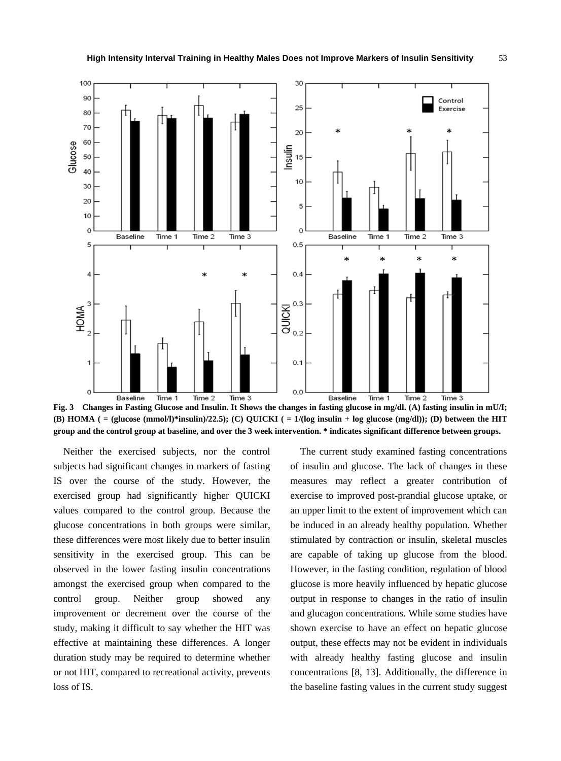

**Fig. 3 Changes in Fasting Glucose and Insulin. It Shows the changes in fasting glucose in mg/dl. (A) fasting insulin in mU/I; (B) HOMA ( = (glucose (mmol/l)\*insulin)/22.5); (C) QUICKI ( = 1/(log insulin + log glucose (mg/dl)); (D) between the HIT group and the control group at baseline, and over the 3 week intervention. \* indicates significant difference between groups.**

Neither the exercised subjects, nor the control subjects had significant changes in markers of fasting IS over the course of the study. However, the exercised group had significantly higher QUICKI values compared to the control group. Because the glucose concentrations in both groups were similar, these differences were most likely due to better insulin sensitivity in the exercised group. This can be observed in the lower fasting insulin concentrations amongst the exercised group when compared to the control group. Neither group showed any improvement or decrement over the course of the study, making it difficult to say whether the HIT was effective at maintaining these differences. A longer duration study may be required to determine whether or not HIT, compared to recreational activity, prevents loss of IS.

The current study examined fasting concentrations of insulin and glucose. The lack of changes in these measures may reflect a greater contribution of exercise to improved post-prandial glucose uptake, or an upper limit to the extent of improvement which can be induced in an already healthy population. Whether stimulated by contraction or insulin, skeletal muscles are capable of taking up glucose from the blood. However, in the fasting condition, regulation of blood glucose is more heavily influenced by hepatic glucose output in response to changes in the ratio of insulin and glucagon concentrations. While some studies have shown exercise to have an effect on hepatic glucose output, these effects may not be evident in individuals with already healthy fasting glucose and insulin concentrations [8, 13]. Additionally, the difference in the baseline fasting values in the current study suggest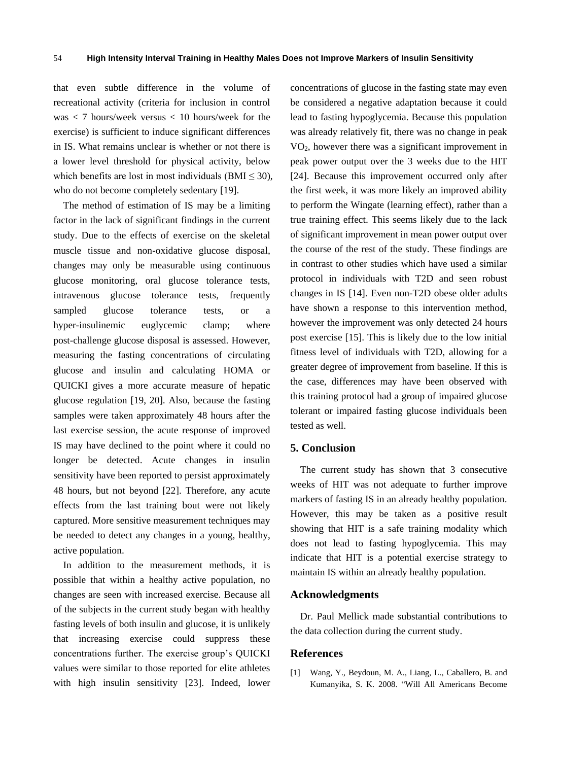that even subtle difference in the volume of recreational activity (criteria for inclusion in control was < 7 hours/week versus < 10 hours/week for the exercise) is sufficient to induce significant differences in IS. What remains unclear is whether or not there is a lower level threshold for physical activity, below which benefits are lost in most individuals (BMI  $\leq$  30), who do not become completely sedentary [19].

The method of estimation of IS may be a limiting factor in the lack of significant findings in the current study. Due to the effects of exercise on the skeletal muscle tissue and non-oxidative glucose disposal, changes may only be measurable using continuous glucose monitoring, oral glucose tolerance tests, intravenous glucose tolerance tests, frequently sampled glucose tolerance tests, or a hyper-insulinemic euglycemic clamp; where post-challenge glucose disposal is assessed. However, measuring the fasting concentrations of circulating glucose and insulin and calculating HOMA or QUICKI gives a more accurate measure of hepatic glucose regulation [19, 20]. Also, because the fasting samples were taken approximately 48 hours after the last exercise session, the acute response of improved IS may have declined to the point where it could no longer be detected. Acute changes in insulin sensitivity have been reported to persist approximately 48 hours, but not beyond [22]. Therefore, any acute effects from the last training bout were not likely captured. More sensitive measurement techniques may be needed to detect any changes in a young, healthy, active population.

In addition to the measurement methods, it is possible that within a healthy active population, no changes are seen with increased exercise. Because all of the subjects in the current study began with healthy fasting levels of both insulin and glucose, it is unlikely that increasing exercise could suppress these concentrations further. The exercise group's QUICKI values were similar to those reported for elite athletes with high insulin sensitivity [23]. Indeed, lower concentrations of glucose in the fasting state may even be considered a negative adaptation because it could lead to fasting hypoglycemia. Because this population was already relatively fit, there was no change in peak  $VO<sub>2</sub>$ , however there was a significant improvement in peak power output over the 3 weeks due to the HIT [24]. Because this improvement occurred only after the first week, it was more likely an improved ability to perform the Wingate (learning effect), rather than a true training effect. This seems likely due to the lack of significant improvement in mean power output over the course of the rest of the study. These findings are in contrast to other studies which have used a similar protocol in individuals with T2D and seen robust changes in IS [14]. Even non-T2D obese older adults have shown a response to this intervention method, however the improvement was only detected 24 hours post exercise [15]. This is likely due to the low initial fitness level of individuals with T2D, allowing for a greater degree of improvement from baseline. If this is the case, differences may have been observed with this training protocol had a group of impaired glucose tolerant or impaired fasting glucose individuals been tested as well.

# **5. Conclusion**

The current study has shown that 3 consecutive weeks of HIT was not adequate to further improve markers of fasting IS in an already healthy population. However, this may be taken as a positive result showing that HIT is a safe training modality which does not lead to fasting hypoglycemia. This may indicate that HIT is a potential exercise strategy to maintain IS within an already healthy population.

#### **Acknowledgments**

Dr. Paul Mellick made substantial contributions to the data collection during the current study.

## **References**

[1] Wang, Y., Beydoun, M. A., Liang, L., Caballero, B. and Kumanyika, S. K. 2008. "Will All Americans Become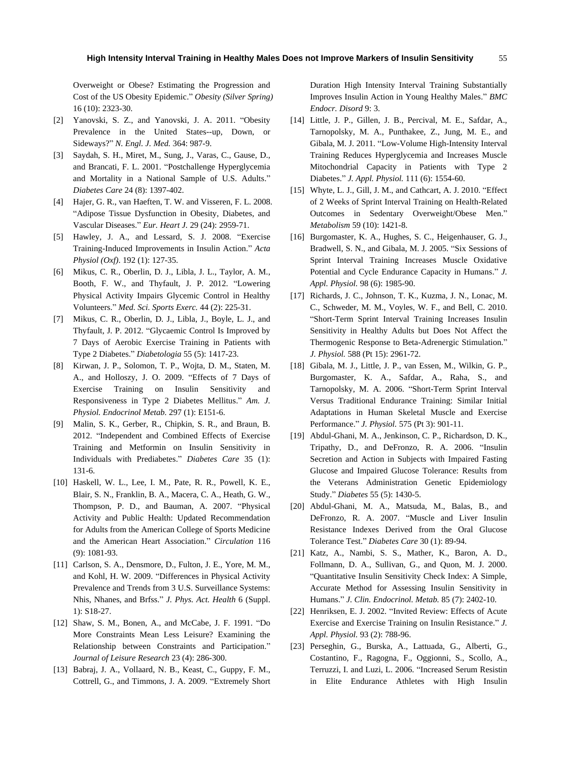Overweight or Obese? Estimating the Progression and Cost of the US Obesity Epidemic." *Obesity (Silver Spring)* 16 (10): 2323-30.

- [2] Yanovski, S. Z., and Yanovski, J. A. 2011. "Obesity Prevalence in the United States--up, Down, or Sideways?" *N. Engl. J. Med.* 364: 987-9.
- [3] Saydah, S. H., Miret, M., Sung, J., Varas, C., Gause, D., and Brancati, F. L. 2001. "Postchallenge Hyperglycemia and Mortality in a National Sample of U.S. Adults." *Diabetes Care* 24 (8): 1397-402.
- [4] Hajer, G. R., van Haeften, T. W. and Visseren, F. L. 2008. "Adipose Tissue Dysfunction in Obesity, Diabetes, and Vascular Diseases." *Eur. Heart J.* 29 (24): 2959-71.
- [5] Hawley, J. A., and Lessard, S. J. 2008. "Exercise Training-Induced Improvements in Insulin Action." *Acta Physiol (Oxf)*. 192 (1): 127-35.
- [6] Mikus, C. R., Oberlin, D. J., Libla, J. L., Taylor, A. M., Booth, F. W., and Thyfault, J. P. 2012. "Lowering Physical Activity Impairs Glycemic Control in Healthy Volunteers." *Med. Sci. Sports Exerc.* 44 (2): 225-31.
- [7] Mikus, C. R., Oberlin, D. J., Libla, J., Boyle, L. J., and Thyfault, J. P. 2012. "Glycaemic Control Is Improved by 7 Days of Aerobic Exercise Training in Patients with Type 2 Diabetes." *Diabetologia* 55 (5): 1417-23.
- [8] Kirwan, J. P., Solomon, T. P., Wojta, D. M., Staten, M. A., and Holloszy, J. O. 2009. "Effects of 7 Days of Exercise Training on Insulin Sensitivity and Responsiveness in Type 2 Diabetes Mellitus." *Am. J. Physiol. Endocrinol Metab.* 297 (1): E151-6.
- [9] Malin, S. K., Gerber, R., Chipkin, S. R., and Braun, B. 2012. "Independent and Combined Effects of Exercise Training and Metformin on Insulin Sensitivity in Individuals with Prediabetes." *Diabetes Care* 35 (1): 131-6.
- [10] Haskell, W. L., Lee, I. M., Pate, R. R., Powell, K. E., Blair, S. N., Franklin, B. A., Macera, C. A., Heath, G. W., Thompson, P. D., and Bauman, A. 2007. "Physical Activity and Public Health: Updated Recommendation for Adults from the American College of Sports Medicine and the American Heart Association." *Circulation* 116 (9): 1081-93.
- [11] Carlson, S. A., Densmore, D., Fulton, J. E., Yore, M. M., and Kohl, H. W. 2009. "Differences in Physical Activity Prevalence and Trends from 3 U.S. Surveillance Systems: Nhis, Nhanes, and Brfss." *J. Phys. Act. Health* 6 (Suppl. 1): S18-27.
- [12] Shaw, S. M., Bonen, A., and McCabe, J. F. 1991. "Do More Constraints Mean Less Leisure? Examining the Relationship between Constraints and Participation." *Journal of Leisure Research* 23 (4): 286-300.
- [13] Babraj, J. A., Vollaard, N. B., Keast, C., Guppy, F. M., Cottrell, G., and Timmons, J. A. 2009. "Extremely Short

Duration High Intensity Interval Training Substantially Improves Insulin Action in Young Healthy Males." *BMC Endocr. Disord* 9: 3.

- [14] Little, J. P., Gillen, J. B., Percival, M. E., Safdar, A., Tarnopolsky, M. A., Punthakee, Z., Jung, M. E., and Gibala, M. J. 2011. "Low-Volume High-Intensity Interval Training Reduces Hyperglycemia and Increases Muscle Mitochondrial Capacity in Patients with Type 2 Diabetes." *J. Appl. Physiol.* 111 (6): 1554-60.
- [15] Whyte, L. J., Gill, J. M., and Cathcart, A. J. 2010. "Effect of 2 Weeks of Sprint Interval Training on Health-Related Outcomes in Sedentary Overweight/Obese Men." *Metabolism* 59 (10): 1421-8.
- [16] Burgomaster, K. A., Hughes, S. C., Heigenhauser, G. J., Bradwell, S. N., and Gibala, M. J. 2005. "Six Sessions of Sprint Interval Training Increases Muscle Oxidative Potential and Cycle Endurance Capacity in Humans." *J. Appl. Physiol.* 98 (6): 1985-90.
- [17] Richards, J. C., Johnson, T. K., Kuzma, J. N., Lonac, M. C., Schweder, M. M., Voyles, W. F., and Bell, C. 2010. "Short-Term Sprint Interval Training Increases Insulin Sensitivity in Healthy Adults but Does Not Affect the Thermogenic Response to Beta-Adrenergic Stimulation." *J. Physiol.* 588 (Pt 15): 2961-72.
- [18] Gibala, M. J., Little, J. P., van Essen, M., Wilkin, G. P., Burgomaster, K. A., Safdar, A., Raha, S., and Tarnopolsky, M. A. 2006. "Short-Term Sprint Interval Versus Traditional Endurance Training: Similar Initial Adaptations in Human Skeletal Muscle and Exercise Performance." *J. Physiol.* 575 (Pt 3): 901-11.
- [19] Abdul-Ghani, M. A., Jenkinson, C. P., Richardson, D. K., Tripathy, D., and DeFronzo, R. A. 2006. "Insulin Secretion and Action in Subjects with Impaired Fasting Glucose and Impaired Glucose Tolerance: Results from the Veterans Administration Genetic Epidemiology Study." *Diabetes* 55 (5): 1430-5.
- [20] Abdul-Ghani, M. A., Matsuda, M., Balas, B., and DeFronzo, R. A. 2007. "Muscle and Liver Insulin Resistance Indexes Derived from the Oral Glucose Tolerance Test." *Diabetes Care* 30 (1): 89-94.
- [21] Katz, A., Nambi, S. S., Mather, K., Baron, A. D., Follmann, D. A., Sullivan, G., and Quon, M. J. 2000. "Quantitative Insulin Sensitivity Check Index: A Simple, Accurate Method for Assessing Insulin Sensitivity in Humans." *J. Clin. Endocrinol. Metab.* 85 (7): 2402-10.
- [22] Henriksen, E. J. 2002. "Invited Review: Effects of Acute Exercise and Exercise Training on Insulin Resistance." *J. Appl. Physiol.* 93 (2): 788-96.
- [23] Perseghin, G., Burska, A., Lattuada, G., Alberti, G., Costantino, F., Ragogna, F., Oggionni, S., Scollo, A., Terruzzi, I. and Luzi, L. 2006. "Increased Serum Resistin in Elite Endurance Athletes with High Insulin